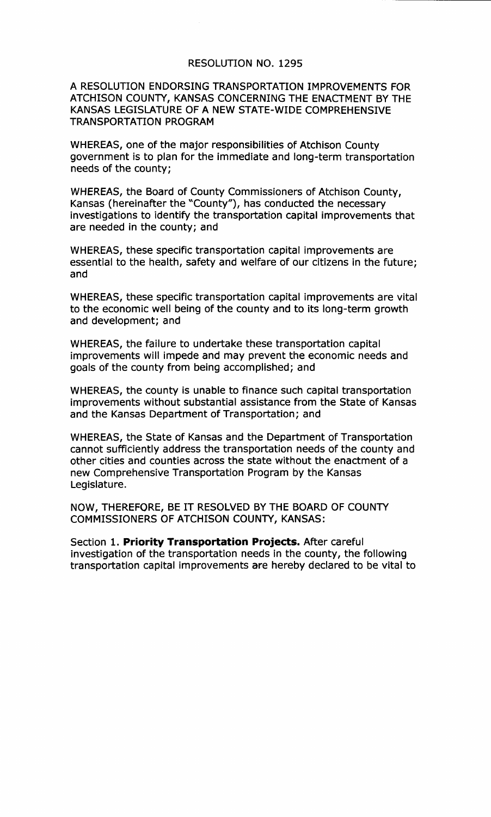## RESOLUTION NO. 1295

## A RESOLUTION ENDORSING TRANSPORTATION IMPROVEMENTS FOR ATCHISON COUNTY, KANSAS CONCERNING THE ENACTMENT BY THE KANSAS LEGISLATURE OF A NEW STATE-WIDE COMPREHENSIVE TRANSPORTATION PROGRAM

WHEREAS, one of the major responsibilities of Atchison County government is to plan for the immediate and long-term transportation needs of the county;

WHEREAS, the Board of County Commissioners of Atchison County, Kansas (hereinafter the "County"), has conducted the necessary investigations to identify the transportation capital improvements that are needed in the county; and

WHEREAS, these specific transportation capital improvements are essential to the health, safety and welfare of our citizens in the future; and

WHEREAS, these specific transportation capital improvements are vital to the economic well being of the county and to its long-term growth and development; and

WHEREAS, the failure to undertake these transportation capital improvements will impede and may prevent the economic needs and goals of the county from being accomplished; and

WHEREAS, the county is unable to finance such capital transportation improvements without substantial assistance from the State of Kansas and the Kansas Department of Transportation; and

WHEREAS, the State of Kansas and the Department of Transportation cannot sufficiently address the transportation needs of the county and other cities and counties across the state without the enactment of a new Comprehensive Transportation Program by the Kansas Legislature.

NOW, THEREFORE, BE IT RESOLVED BY THE BOARD OF COUNTY COMMISSIONERS OF ATCHISON COUNTY, KANSAS:

Section 1. **Priority Transportation Projects.** After careful investigation of the transportation needs in the county, the following transportation capital improvements are hereby declared to be vital to